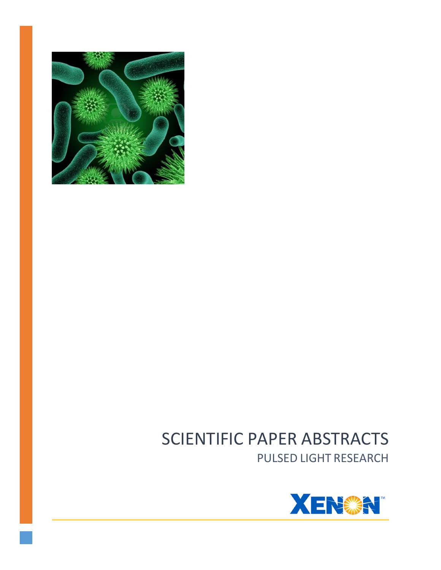

# SCIENTIFIC PAPER ABSTRACTS PULSED LIGHT RESEARCH

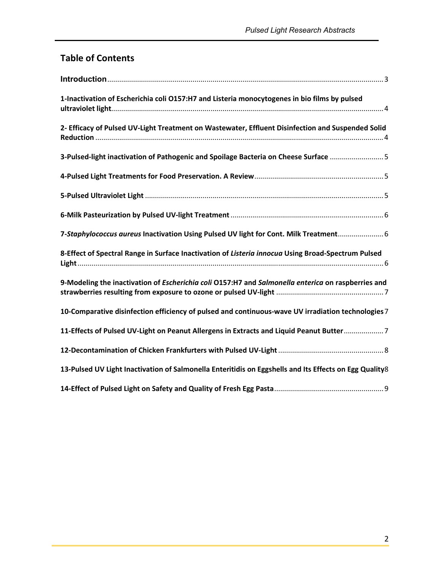## **Table of Contents**

| 1-Inactivation of Escherichia coli O157:H7 and Listeria monocytogenes in bio films by pulsed           |
|--------------------------------------------------------------------------------------------------------|
| 2- Efficacy of Pulsed UV-Light Treatment on Wastewater, Effluent Disinfection and Suspended Solid      |
| 3-Pulsed-light inactivation of Pathogenic and Spoilage Bacteria on Cheese Surface 5                    |
|                                                                                                        |
|                                                                                                        |
|                                                                                                        |
| 7-Staphylococcus aureus Inactivation Using Pulsed UV light for Cont. Milk Treatment 6                  |
| 8-Effect of Spectral Range in Surface Inactivation of Listeria innocua Using Broad-Spectrum Pulsed     |
| 9-Modeling the inactivation of Escherichia coli O157:H7 and Salmonella enterica on raspberries and     |
| 10-Comparative disinfection efficiency of pulsed and continuous-wave UV irradiation technologies 7     |
| 11-Effects of Pulsed UV-Light on Peanut Allergens in Extracts and Liquid Peanut Butter7                |
|                                                                                                        |
| 13-Pulsed UV Light Inactivation of Salmonella Enteritidis on Eggshells and Its Effects on Egg Quality8 |
|                                                                                                        |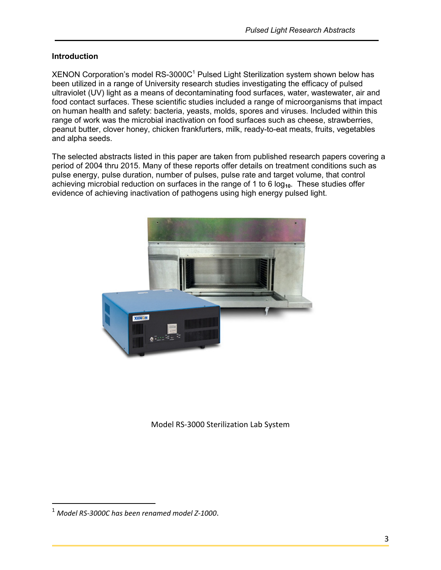#### **Introduction**

 $XENON$  Corporation's model RS-3000C<sup>1</sup> Pulsed Light Sterilization system shown below has been utilized in a range of University research studies investigating the efficacy of pulsed ultraviolet (UV) light as a means of decontaminating food surfaces, water, wastewater, air and food contact surfaces. These scientific studies included a range of microorganisms that impact on human health and safety: bacteria, yeasts, molds, spores and viruses. Included within this range of work was the microbial inactivation on food surfaces such as cheese, strawberries, peanut butter, clover honey, chicken frankfurters, milk, ready-to-eat meats, fruits, vegetables and alpha seeds.

The selected abstracts listed in this paper are taken from published research papers covering a period of 2004 thru 2015. Many of these reports offer details on treatment conditions such as pulse energy, pulse duration, number of pulses, pulse rate and target volume, that control achieving microbial reduction on surfaces in the range of 1 to 6 log<sub>10</sub>. These studies offer evidence of achieving inactivation of pathogens using high energy pulsed light.



Model RS-3000 Sterilization Lab System

 $\overline{a}$ 

<sup>1</sup> *Model RS-3000C has been renamed model Z-1000*.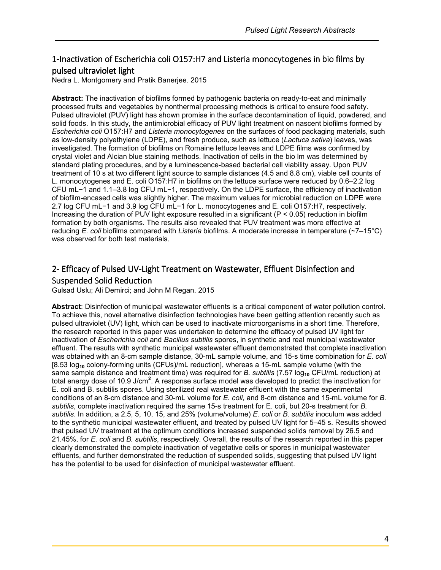#### 1-Inactivation of Escherichia coli O157:H7 and Listeria monocytogenes in bio films by pulsed ultraviolet light

Nedra L. Montgomery and Pratik Banerjee. 2015

**Abstract:** The inactivation of biofilms formed by pathogenic bacteria on ready-to-eat and minimally processed fruits and vegetables by nonthermal processing methods is critical to ensure food safety. Pulsed ultraviolet (PUV) light has shown promise in the surface decontamination of liquid, powdered, and solid foods. In this study, the antimicrobial efficacy of PUV light treatment on nascent biofilms formed by *Escherichia coli* O157:H7 and *Listeria monocytogenes* on the surfaces of food packaging materials, such as low-density polyethylene (LDPE), and fresh produce, such as lettuce (*Lactuca sativa*) leaves, was investigated. The formation of biofilms on Romaine lettuce leaves and LDPE films was confirmed by crystal violet and Alcian blue staining methods. Inactivation of cells in the bio lm was determined by standard plating procedures, and by a luminescence-based bacterial cell viability assay. Upon PUV treatment of 10 s at two different light source to sample distances (4.5 and 8.8 cm), viable cell counts of L. monocytogenes and E. coli O157:H7 in biofilms on the lettuce surface were reduced by 0.6–2.2 log CFU mL−1 and 1.1–3.8 log CFU mL−1, respectively. On the LDPE surface, the efficiency of inactivation of biofilm-encased cells was slightly higher. The maximum values for microbial reduction on LDPE were 2.7 log CFU mL−1 and 3.9 log CFU mL−1 for L. monocytogenes and E. coli O157:H7, respectively. Increasing the duration of PUV light exposure resulted in a significant ( $P < 0.05$ ) reduction in biofilm formation by both organisms. The results also revealed that PUV treatment was more effective at reducing *E. coli* biofilms compared with *Listeria* biofilms. A moderate increase in temperature (~7–15°C) was observed for both test materials.

### 2- Efficacy of Pulsed UV-Light Treatment on Wastewater, Effluent Disinfection and Suspended Solid Reduction

Gulsad Uslu; Ali Demirci; and John M Regan. 2015

**Abstract**: Disinfection of municipal wastewater effluents is a critical component of water pollution control. To achieve this, novel alternative disinfection technologies have been getting attention recently such as pulsed ultraviolet (UV) light, which can be used to inactivate microorganisms in a short time. Therefore, the research reported in this paper was undertaken to determine the efficacy of pulsed UV light for inactivation of *Escherichia coli* and *Bacillus subtilis* spores, in synthetic and real municipal wastewater effluent. The results with synthetic municipal wastewater effluent demonstrated that complete inactivation was obtained with an 8-cm sample distance, 30-mL sample volume, and 15-s time combination for *E. coli* [8.53 log**10** colony-forming units (CFUs)/mL reduction], whereas a 15-mL sample volume (with the same sample distance and treatment time) was required for *B. subtilis* (7.57 log<sub>10</sub> CFU/mL reduction) at total energy dose of 10.9 J/cm**<sup>2</sup>** . A response surface model was developed to predict the inactivation for E. coli and B. subtilis spores. Using sterilized real wastewater effluent with the same experimental conditions of an 8-cm distance and 30-mL volume for *E. coli*, and 8-cm distance and 15-mL volume for *B. subtilis*, complete inactivation required the same 15-s treatment for E. coli, but 20-s treatment for *B. subtilis*. In addition, a 2.5, 5, 10, 15, and 25% (volume/volume) *E. coli* or *B. subtilis* inoculum was added to the synthetic municipal wastewater effluent, and treated by pulsed UV light for 5–45 s. Results showed that pulsed UV treatment at the optimum conditions increased suspended solids removal by 26.5 and 21.45%, for *E. coli* and *B. subtilis*, respectively. Overall, the results of the research reported in this paper clearly demonstrated the complete inactivation of vegetative cells or spores in municipal wastewater effluents, and further demonstrated the reduction of suspended solids, suggesting that pulsed UV light has the potential to be used for disinfection of municipal wastewater effluent.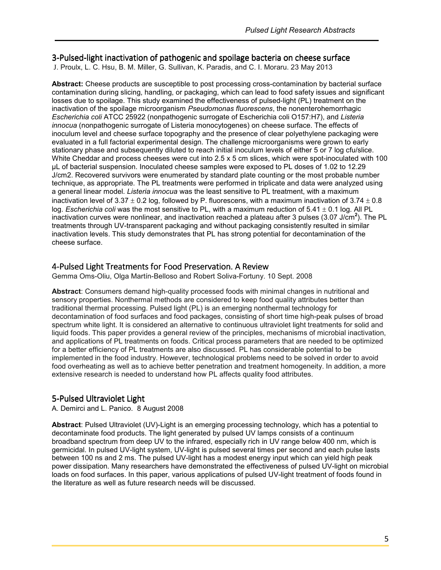#### 3-Pulsed-light inactivation of pathogenic and spoilage bacteria on cheese surface

J. Proulx, L. C. Hsu, B. M. Miller, G. Sullivan, K. Paradis, and C. I. Moraru. 23 May 2013

**Abstract:** Cheese products are susceptible to post processing cross-contamination by bacterial surface contamination during slicing, handling, or packaging, which can lead to food safety issues and significant losses due to spoilage. This study examined the effectiveness of pulsed-light (PL) treatment on the inactivation of the spoilage microorganism *Pseudomonas fluorescens*, the nonenterohemorrhagic *Escherichia coli* ATCC 25922 (nonpathogenic surrogate of Escherichia coli O157:H7), and *Listeria innocua* (nonpathogenic surrogate of Listeria monocytogenes) on cheese surface. The effects of inoculum level and cheese surface topography and the presence of clear polyethylene packaging were evaluated in a full factorial experimental design. The challenge microorganisms were grown to early stationary phase and subsequently diluted to reach initial inoculum levels of either 5 or 7 log cfu/slice. White Cheddar and process cheeses were cut into 2.5 x 5 cm slices, which were spot-inoculated with 100 µL of bacterial suspension. Inoculated cheese samples were exposed to PL doses of 1.02 to 12.29 J/cm2. Recovered survivors were enumerated by standard plate counting or the most probable number technique, as appropriate. The PL treatments were performed in triplicate and data were analyzed using a general linear model. *Listeria innocua* was the least sensitive to PL treatment, with a maximum inactivation level of  $3.37 \pm 0.2$  log, followed by P. fluorescens, with a maximum inactivation of  $3.74 \pm 0.8$ log. *Escherichia coli* was the most sensitive to PL, with a maximum reduction of 5.41 ± 0.1 log. All PL inactivation curves were nonlinear, and inactivation reached a plateau after 3 pulses (3.07 J/cm**<sup>2</sup>** ). The PL treatments through UV-transparent packaging and without packaging consistently resulted in similar inactivation levels. This study demonstrates that PL has strong potential for decontamination of the cheese surface.

#### 4-Pulsed Light Treatments for Food Preservation. A Review

Gemma Oms-Oliu, Olga Martín-Belloso and Robert Soliva-Fortuny. 10 Sept. 2008

**Abstract**: Consumers demand high-quality processed foods with minimal changes in nutritional and sensory properties. Nonthermal methods are considered to keep food quality attributes better than traditional thermal processing. Pulsed light (PL) is an emerging nonthermal technology for decontamination of food surfaces and food packages, consisting of short time high-peak pulses of broad spectrum white light. It is considered an alternative to continuous ultraviolet light treatments for solid and liquid foods. This paper provides a general review of the principles, mechanisms of microbial inactivation, and applications of PL treatments on foods. Critical process parameters that are needed to be optimized for a better efficiency of PL treatments are also discussed. PL has considerable potential to be implemented in the food industry. However, technological problems need to be solved in order to avoid food overheating as well as to achieve better penetration and treatment homogeneity. In addition, a more extensive research is needed to understand how PL affects quality food attributes.

#### 5-Pulsed Ultraviolet Light

A. Demirci and L. Panico. 8 August 2008

**Abstract**: Pulsed Ultraviolet (UV)-Light is an emerging processing technology, which has a potential to decontaminate food products. The light generated by pulsed UV lamps consists of a continuum broadband spectrum from deep UV to the infrared, especially rich in UV range below 400 nm, which is germicidal. In pulsed UV-light system, UV-light is pulsed several times per second and each pulse lasts between 100 ns and 2 ms. The pulsed UV-light has a modest energy input which can yield high peak power dissipation. Many researchers have demonstrated the effectiveness of pulsed UV-light on microbial loads on food surfaces. In this paper, various applications of pulsed UV-light treatment of foods found in the literature as well as future research needs will be discussed.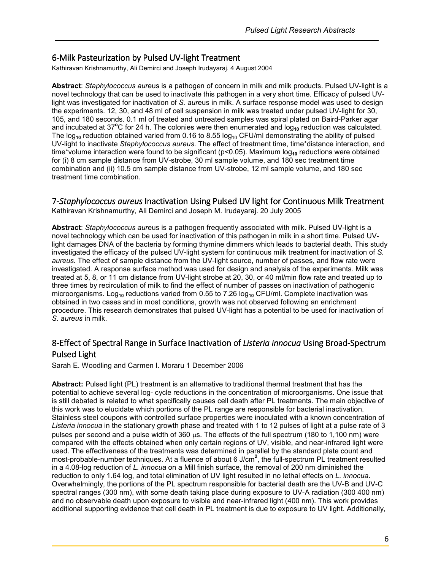#### 6-Milk Pasteurization by Pulsed UV-light Treatment

Kathiravan Krishnamurthy, Ali Demirci and Joseph Irudayaraj. 4 August 2004

**Abstract**: *Staphylococcus aur*eus is a pathogen of concern in milk and milk products. Pulsed UV-light is a novel technology that can be used to inactivate this pathogen in a very short time. Efficacy of pulsed UVlight was investigated for inactivation of *S. aur*eus in milk. A surface response model was used to design the experiments. 12, 30, and 48 ml of cell suspension in milk was treated under pulsed UV-light for 30, 105, and 180 seconds. 0.1 ml of treated and untreated samples was spiral plated on Baird-Parker agar and incubated at 37<sup>o</sup>C for 24 h. The colonies were then enumerated and log<sub>10</sub> reduction was calculated. The log<sub>10</sub> reduction obtained varied from 0.16 to 8.55 log<sub>10</sub> CFU/ml demonstrating the ability of pulsed UV-light to inactivate *Staphylococcus aureus*. The effect of treatment time, time\*distance interaction, and time\*volume interaction were found to be significant (p<0.05). Maximum log<sub>10</sub> reductions were obtained for (i) 8 cm sample distance from UV-strobe, 30 ml sample volume, and 180 sec treatment time combination and (ii) 10.5 cm sample distance from UV-strobe, 12 ml sample volume, and 180 sec treatment time combination.

#### 7-Staphylococcus aureus Inactivation Using Pulsed UV light for Continuous Milk Treatment

Kathiravan Krishnamurthy, Ali Demirci and Joseph M. Irudayaraj. 20 July 2005

**Abstract**: *Staphylococcus aur*eus is a pathogen frequently associated with milk. Pulsed UV-light is a novel technology which can be used for inactivation of this pathogen in milk in a short time. Pulsed UVlight damages DNA of the bacteria by forming thymine dimmers which leads to bacterial death. This study investigated the efficacy of the pulsed UV-light system for continuous milk treatment for inactivation of *S. aureus.* The effect of sample distance from the UV-light source, number of passes, and flow rate were investigated. A response surface method was used for design and analysis of the experiments. Milk was treated at 5, 8, or 11 cm distance from UV-light strobe at 20, 30, or 40 ml/min flow rate and treated up to three times by recirculation of milk to find the effect of number of passes on inactivation of pathogenic microorganisms. Log<sub>10</sub> reductions varied from 0.55 to 7.26 log<sub>10</sub> CFU/ml. Complete inactivation was obtained in two cases and in most conditions, growth was not observed following an enrichment procedure. This research demonstrates that pulsed UV-light has a potential to be used for inactivation of *S. aureus* in milk.

#### 8-Effect of Spectral Range in Surface Inactivation of Listeria innocua Using Broad-Spectrum Pulsed Light

Sarah E. Woodling and Carmen I. Moraru 1 December 2006

**Abstract:** Pulsed light (PL) treatment is an alternative to traditional thermal treatment that has the potential to achieve several log- cycle reductions in the concentration of microorganisms. One issue that is still debated is related to what specifically causes cell death after PL treatments. The main objective of this work was to elucidate which portions of the PL range are responsible for bacterial inactivation. Stainless steel coupons with controlled surface properties were inoculated with a known concentration of *Listeria innocua* in the stationary growth phase and treated with 1 to 12 pulses of light at a pulse rate of 3 pulses per second and a pulse width of 360 µs. The effects of the full spectrum (180 to 1,100 nm) were compared with the effects obtained when only certain regions of UV, visible, and near-infrared light were used. The effectiveness of the treatments was determined in parallel by the standard plate count and most-probable-number techniques. At a fluence of about 6 J/cm**<sup>2</sup>** , the full-spectrum PL treatment resulted in a 4.08-log reduction of *L. innocua* on a Mill finish surface, the removal of 200 nm diminished the reduction to only 1.64 log, and total elimination of UV light resulted in no lethal effects on *L. innocua*. Overwhelmingly, the portions of the PL spectrum responsible for bacterial death are the UV-B and UV-C spectral ranges (300 nm), with some death taking place during exposure to UV-A radiation (300 400 nm) and no observable death upon exposure to visible and near-infrared light (400 nm). This work provides additional supporting evidence that cell death in PL treatment is due to exposure to UV light. Additionally,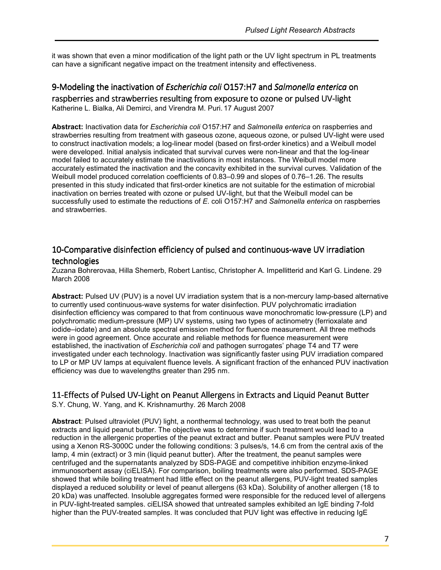it was shown that even a minor modification of the light path or the UV light spectrum in PL treatments can have a significant negative impact on the treatment intensity and effectiveness.

#### 9-Modeling the inactivation of *Escherichia coli* O157:H7 and Salmonella enterica on raspberries and strawberries resulting from exposure to ozone or pulsed UV-light Katherine L. Bialka, Ali Demirci, and Virendra M. Puri. 17 August 2007

**Abstract:** Inactivation data for *Escherichia coli* O157:H7 and *Salmonella enterica* on raspberries and strawberries resulting from treatment with gaseous ozone, aqueous ozone, or pulsed UV-light were used to construct inactivation models; a log-linear model (based on first-order kinetics) and a Weibull model were developed. Initial analysis indicated that survival curves were non-linear and that the log-linear model failed to accurately estimate the inactivations in most instances. The Weibull model more accurately estimated the inactivation and the concavity exhibited in the survival curves. Validation of the Weibull model produced correlation coefficients of 0.83–0.99 and slopes of 0.76–1.26. The results presented in this study indicated that first-order kinetics are not suitable for the estimation of microbial inactivation on berries treated with ozone or pulsed UV-light, but that the Weibull model can be successfully used to estimate the reductions of *E*. coli O157:H7 and *Salmonella enterica* on raspberries and strawberries.

#### 10-Comparative disinfection efficiency of pulsed and continuous-wave UV irradiation technologies

Zuzana Bohrerovaa, Hilla Shemerb, Robert Lantisc, Christopher A. Impellitterid and Karl G. Lindene. 29 March 2008

**Abstract:** Pulsed UV (PUV) is a novel UV irradiation system that is a non-mercury lamp-based alternative to currently used continuous-wave systems for water disinfection. PUV polychromatic irradiation disinfection efficiency was compared to that from continuous wave monochromatic low-pressure (LP) and polychromatic medium-pressure (MP) UV systems, using two types of actinometry (ferrioxalate and iodide–iodate) and an absolute spectral emission method for fluence measurement. All three methods were in good agreement. Once accurate and reliable methods for fluence measurement were established, the inactivation of *Escherichia coli* and pathogen surrogates' phage T4 and T7 were investigated under each technology. Inactivation was significantly faster using PUV irradiation compared to LP or MP UV lamps at equivalent fluence levels. A significant fraction of the enhanced PUV inactivation efficiency was due to wavelengths greater than 295 nm.

#### 11-Effects of Pulsed UV-Light on Peanut Allergens in Extracts and Liquid Peanut Butter

S.Y. Chung, W. Yang, and K. Krishnamurthy. 26 March 2008

**Abstract**: Pulsed ultraviolet (PUV) light, a nonthermal technology, was used to treat both the peanut extracts and liquid peanut butter. The objective was to determine if such treatment would lead to a reduction in the allergenic properties of the peanut extract and butter. Peanut samples were PUV treated using a Xenon RS-3000C under the following conditions: 3 pulses/s, 14.6 cm from the central axis of the lamp, 4 min (extract) or 3 min (liquid peanut butter). After the treatment, the peanut samples were centrifuged and the supernatants analyzed by SDS-PAGE and competitive inhibition enzyme-linked immunosorbent assay (ciELISA). For comparison, boiling treatments were also performed. SDS-PAGE showed that while boiling treatment had little effect on the peanut allergens, PUV-light treated samples displayed a reduced solubility or level of peanut allergens (63 kDa). Solubility of another allergen (18 to 20 kDa) was unaffected. Insoluble aggregates formed were responsible for the reduced level of allergens in PUV-light-treated samples. ciELISA showed that untreated samples exhibited an IgE binding 7-fold higher than the PUV-treated samples. It was concluded that PUV light was effective in reducing IgE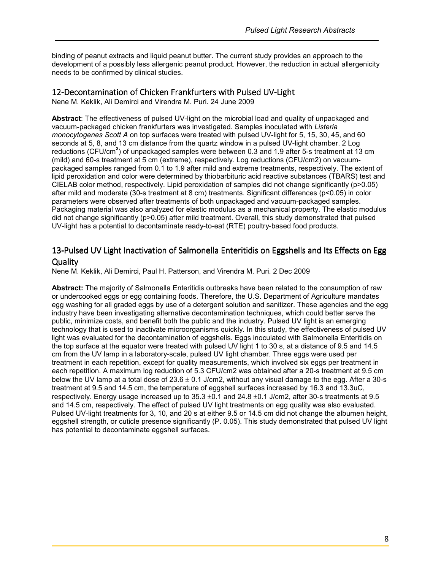binding of peanut extracts and liquid peanut butter. The current study provides an approach to the development of a possibly less allergenic peanut product. However, the reduction in actual allergenicity needs to be confirmed by clinical studies.

#### 12-Decontamination of Chicken Frankfurters with Pulsed UV-Light

Nene M. Keklik, Ali Demirci and Virendra M. Puri. 24 June 2009

**Abstract**: The effectiveness of pulsed UV-light on the microbial load and quality of unpackaged and vacuum-packaged chicken frankfurters was investigated. Samples inoculated with *Listeria monocytogenes Scott A* on top surfaces were treated with pulsed UV-light for 5, 15, 30, 45, and 60 seconds at 5, 8, and 13 cm distance from the quartz window in a pulsed UV-light chamber. 2 Log reductions (CFU/cm**<sup>2</sup>** ) of unpackaged samples were between 0.3 and 1.9 after 5-s treatment at 13 cm (mild) and 60-s treatment at 5 cm (extreme), respectively. Log reductions (CFU/cm2) on vacuumpackaged samples ranged from 0.1 to 1.9 after mild and extreme treatments, respectively. The extent of lipid peroxidation and color were determined by thiobarbituric acid reactive substances (TBARS) test and CIELAB color method, respectively. Lipid peroxidation of samples did not change significantly (p>0.05) after mild and moderate (30-s treatment at 8 cm) treatments. Significant differences (p<0.05) in color parameters were observed after treatments of both unpackaged and vacuum-packaged samples. Packaging material was also analyzed for elastic modulus as a mechanical property. The elastic modulus did not change significantly (p>0.05) after mild treatment. Overall, this study demonstrated that pulsed UV-light has a potential to decontaminate ready-to-eat (RTE) poultry-based food products.

#### 13-Pulsed UV Light Inactivation of Salmonella Enteritidis on Eggshells and Its Effects on Egg **Quality**

Nene M. Keklik, Ali Demirci, Paul H. Patterson, and Virendra M. Puri. 2 Dec 2009

**Abstract:** The majority of Salmonella Enteritidis outbreaks have been related to the consumption of raw or undercooked eggs or egg containing foods. Therefore, the U.S. Department of Agriculture mandates egg washing for all graded eggs by use of a detergent solution and sanitizer. These agencies and the egg industry have been investigating alternative decontamination techniques, which could better serve the public, minimize costs, and benefit both the public and the industry. Pulsed UV light is an emerging technology that is used to inactivate microorganisms quickly. In this study, the effectiveness of pulsed UV light was evaluated for the decontamination of eggshells. Eggs inoculated with Salmonella Enteritidis on the top surface at the equator were treated with pulsed UV light 1 to 30 s, at a distance of 9.5 and 14.5 cm from the UV lamp in a laboratory-scale, pulsed UV light chamber. Three eggs were used per treatment in each repetition, except for quality measurements, which involved six eggs per treatment in each repetition. A maximum log reduction of 5.3 CFU/cm2 was obtained after a 20-s treatment at 9.5 cm below the UV lamp at a total dose of  $23.6 \pm 0.1$  J/cm2, without any visual damage to the egg. After a 30-s treatment at 9.5 and 14.5 cm, the temperature of eggshell surfaces increased by 16.3 and 13.3uC, respectively. Energy usage increased up to 35.3 ±0.1 and 24.8 ±0.1 J/cm2, after 30-s treatments at 9.5 and 14.5 cm, respectively. The effect of pulsed UV light treatments on egg quality was also evaluated. Pulsed UV-light treatments for 3, 10, and 20 s at either 9.5 or 14.5 cm did not change the albumen height, eggshell strength, or cuticle presence significantly (P. 0.05). This study demonstrated that pulsed UV light has potential to decontaminate eggshell surfaces.